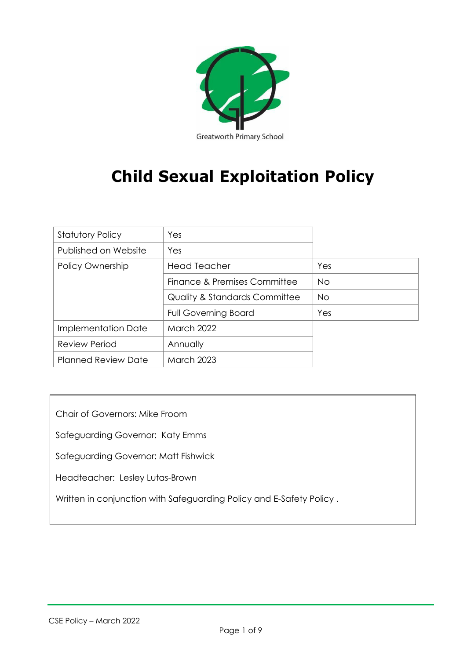

# **Child Sexual Exploitation Policy**

| <b>Statutory Policy</b>    | Yes                           |           |
|----------------------------|-------------------------------|-----------|
| Published on Website       | Yes                           |           |
| Policy Ownership           | <b>Head Teacher</b>           | Yes       |
|                            | Finance & Premises Committee  | <b>No</b> |
|                            | Quality & Standards Committee | <b>No</b> |
|                            | <b>Full Governing Board</b>   | Yes       |
| Implementation Date        | <b>March 2022</b>             |           |
| <b>Review Period</b>       | Annually                      |           |
| <b>Planned Review Date</b> | <b>March 2023</b>             |           |

Chair of Governors: Mike Froom

Safeguarding Governor: Katy Emms

Safeguarding Governor: Matt Fishwick

Headteacher: Lesley Lutas-Brown

Written in conjunction with Safeguarding Policy and E-Safety Policy .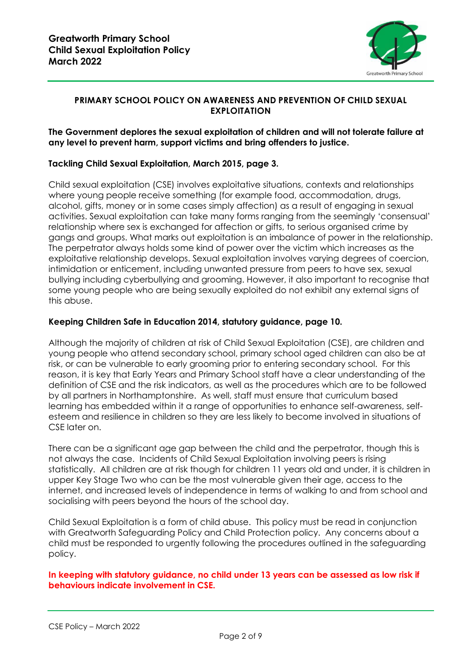

## **PRIMARY SCHOOL POLICY ON AWARENESS AND PREVENTION OF CHILD SEXUAL EXPLOITATION**

#### **The Government deplores the sexual exploitation of children and will not tolerate failure at any level to prevent harm, support victims and bring offenders to justice.**

# **Tackling Child Sexual Exploitation, March 2015, page 3.**

Child sexual exploitation (CSE) involves exploitative situations, contexts and relationships where young people receive something (for example food, accommodation, drugs, alcohol, gifts, money or in some cases simply affection) as a result of engaging in sexual activities. Sexual exploitation can take many forms ranging from the seemingly 'consensual' relationship where sex is exchanged for affection or gifts, to serious organised crime by gangs and groups. What marks out exploitation is an imbalance of power in the relationship. The perpetrator always holds some kind of power over the victim which increases as the exploitative relationship develops. Sexual exploitation involves varying degrees of coercion, intimidation or enticement, including unwanted pressure from peers to have sex, sexual bullying including cyberbullying and grooming. However, it also important to recognise that some young people who are being sexually exploited do not exhibit any external signs of this abuse.

## **Keeping Children Safe in Education 2014, statutory guidance, page 10.**

Although the majority of children at risk of Child Sexual Exploitation (CSE), are children and young people who attend secondary school, primary school aged children can also be at risk, or can be vulnerable to early grooming prior to entering secondary school. For this reason, it is key that Early Years and Primary School staff have a clear understanding of the definition of CSE and the risk indicators, as well as the procedures which are to be followed by all partners in Northamptonshire. As well, staff must ensure that curriculum based learning has embedded within it a range of opportunities to enhance self-awareness, selfesteem and resilience in children so they are less likely to become involved in situations of CSE later on.

There can be a significant age gap between the child and the perpetrator, though this is not always the case. Incidents of Child Sexual Exploitation involving peers is rising statistically. All children are at risk though for children 11 years old and under, it is children in upper Key Stage Two who can be the most vulnerable given their age, access to the internet, and increased levels of independence in terms of walking to and from school and socialising with peers beyond the hours of the school day.

Child Sexual Exploitation is a form of child abuse. This policy must be read in conjunction with Greatworth Safeguarding Policy and Child Protection policy. Any concerns about a child must be responded to urgently following the procedures outlined in the safeguarding policy.

**In keeping with statutory guidance, no child under 13 years can be assessed as low risk if behaviours indicate involvement in CSE.**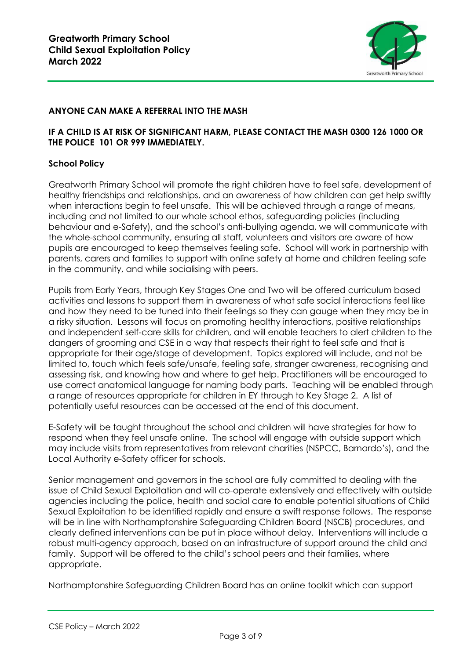

# **ANYONE CAN MAKE A REFERRAL INTO THE MASH**

## **IF A CHILD IS AT RISK OF SIGNIFICANT HARM, PLEASE CONTACT THE MASH 0300 126 1000 OR THE POLICE 101 OR 999 IMMEDIATELY.**

## **School Policy**

Greatworth Primary School will promote the right children have to feel safe, development of healthy friendships and relationships, and an awareness of how children can get help swiftly when interactions begin to feel unsafe. This will be achieved through a range of means, including and not limited to our whole school ethos, safeguarding policies (including behaviour and e-Safety), and the school's anti-bullying agenda, we will communicate with the whole-school community, ensuring all staff, volunteers and visitors are aware of how pupils are encouraged to keep themselves feeling safe. School will work in partnership with parents, carers and families to support with online safety at home and children feeling safe in the community, and while socialising with peers.

Pupils from Early Years, through Key Stages One and Two will be offered curriculum based activities and lessons to support them in awareness of what safe social interactions feel like and how they need to be tuned into their feelings so they can gauge when they may be in a risky situation. Lessons will focus on promoting healthy interactions, positive relationships and independent self-care skills for children, and will enable teachers to alert children to the dangers of grooming and CSE in a way that respects their right to feel safe and that is appropriate for their age/stage of development. Topics explored will include, and not be limited to, touch which feels safe/unsafe, feeling safe, stranger awareness, recognising and assessing risk, and knowing how and where to get help. Practitioners will be encouraged to use correct anatomical language for naming body parts. Teaching will be enabled through a range of resources appropriate for children in EY through to Key Stage 2. A list of potentially useful resources can be accessed at the end of this document.

E-Safety will be taught throughout the school and children will have strategies for how to respond when they feel unsafe online. The school will engage with outside support which may include visits from representatives from relevant charities (NSPCC, Barnardo's), and the Local Authority e-Safety officer for schools.

Senior management and governors in the school are fully committed to dealing with the issue of Child Sexual Exploitation and will co-operate extensively and effectively with outside agencies including the police, health and social care to enable potential situations of Child Sexual Exploitation to be identified rapidly and ensure a swift response follows. The response will be in line with Northamptonshire Safeguarding Children Board (NSCB) procedures, and clearly defined interventions can be put in place without delay. Interventions will include a robust multi-agency approach, based on an infrastructure of support around the child and family. Support will be offered to the child's school peers and their families, where appropriate.

Northamptonshire Safeguarding Children Board has an online toolkit which can support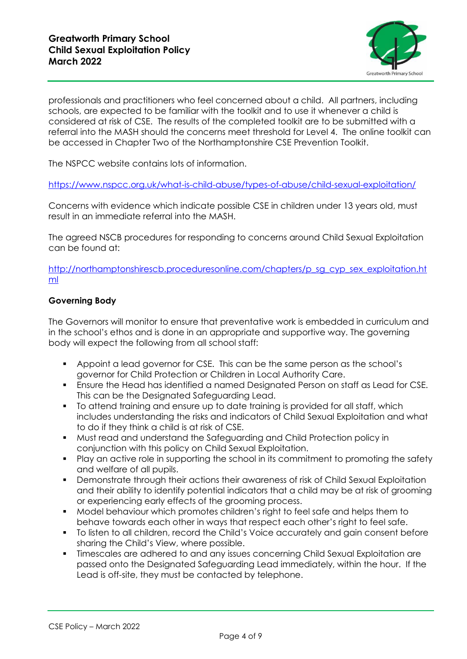

professionals and practitioners who feel concerned about a child. All partners, including schools, are expected to be familiar with the toolkit and to use it whenever a child is considered at risk of CSE. The results of the completed toolkit are to be submitted with a referral into the MASH should the concerns meet threshold for Level 4. The online toolkit can be accessed in Chapter Two of the Northamptonshire CSE Prevention Toolkit.

The NSPCC website contains lots of information.

<https://www.nspcc.org.uk/what-is-child-abuse/types-of-abuse/child-sexual-exploitation/>

Concerns with evidence which indicate possible CSE in children under 13 years old, must result in an immediate referral into the MASH.

The agreed NSCB procedures for responding to concerns around Child Sexual Exploitation can be found at:

[http://northamptonshirescb.proceduresonline.com/chapters/p\\_sg\\_cyp\\_sex\\_exploitation.ht](http://northamptonshirescb.proceduresonline.com/chapters/p_sg_cyp_sex_exploitation.html) [ml](http://northamptonshirescb.proceduresonline.com/chapters/p_sg_cyp_sex_exploitation.html)

## **Governing Body**

The Governors will monitor to ensure that preventative work is embedded in curriculum and in the school's ethos and is done in an appropriate and supportive way. The governing body will expect the following from all school staff:

- Appoint a lead governor for CSE. This can be the same person as the school's governor for Child Protection or Children in Local Authority Care.
- Ensure the Head has identified a named Designated Person on staff as Lead for CSE. This can be the Designated Safeguarding Lead.
- To attend training and ensure up to date training is provided for all staff, which includes understanding the risks and indicators of Child Sexual Exploitation and what to do if they think a child is at risk of CSE.
- Must read and understand the Safeguarding and Child Protection policy in conjunction with this policy on Child Sexual Exploitation.
- Play an active role in supporting the school in its commitment to promoting the safety and welfare of all pupils.
- **•** Demonstrate through their actions their awareness of risk of Child Sexual Exploitation and their ability to identify potential indicators that a child may be at risk of grooming or experiencing early effects of the grooming process.
- Model behaviour which promotes children's right to feel safe and helps them to behave towards each other in ways that respect each other's right to feel safe.
- To listen to all children, record the Child's Voice accurately and gain consent before sharing the Child's View, where possible.
- Timescales are adhered to and any issues concerning Child Sexual Exploitation are passed onto the Designated Safeguarding Lead immediately, within the hour. If the Lead is off-site, they must be contacted by telephone.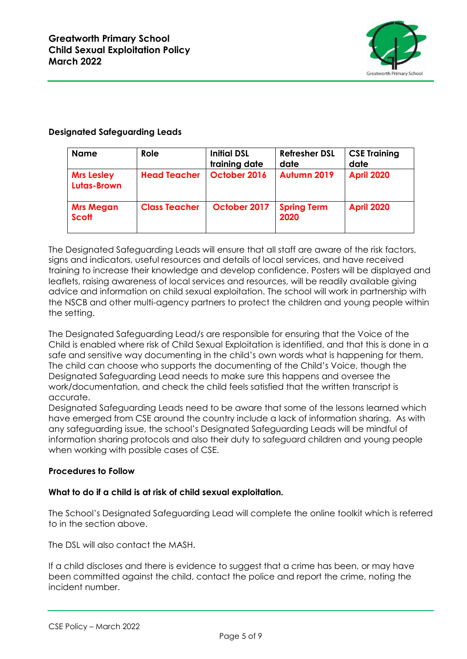

## **Designated Safeguarding Leads**

| <b>Name</b>                      | Role                 | <b>Initial DSL</b><br>training date | <b>Refresher DSL</b><br>date | <b>CSE Training</b><br>date |
|----------------------------------|----------------------|-------------------------------------|------------------------------|-----------------------------|
| <b>Mrs Lesley</b><br>Lutas-Brown | <b>Head Teacher</b>  | October 2016                        | Autumn 2019                  | <b>April 2020</b>           |
| <b>Mrs Megan</b><br><b>Scott</b> | <b>Class Teacher</b> | October 2017                        | <b>Spring Term</b><br>2020   | <b>April 2020</b>           |

The Designated Safeguarding Leads will ensure that all staff are aware of the risk factors, signs and indicators, useful resources and details of local services, and have received training to increase their knowledge and develop confidence. Posters will be displayed and leaflets, raising awareness of local services and resources, will be readily available giving advice and information on child sexual exploitation. The school will work in partnership with the NSCB and other multi-agency partners to protect the children and young people within the setting.

The Designated Safeguarding Lead/s are responsible for ensuring that the Voice of the Child is enabled where risk of Child Sexual Exploitation is identified, and that this is done in a safe and sensitive way documenting in the child's own words what is happening for them. The child can choose who supports the documenting of the Child's Voice, though the Designated Safeguarding Lead needs to make sure this happens and oversee the work/documentation, and check the child feels satisfied that the written transcript is accurate.

Designated Safeguarding Leads need to be aware that some of the lessons learned which have emerged from CSE around the country include a lack of information sharing. As with any safeguarding issue, the school's Designated Safeguarding Leads will be mindful of information sharing protocols and also their duty to safeguard children and young people when working with possible cases of CSE.

# **Procedures to Follow**

#### **What to do if a child is at risk of child sexual exploitation.**

The School's Designated Safeguarding Lead will complete the online toolkit which is referred to in the section above.

The DSL will also contact the MASH.

If a child discloses and there is evidence to suggest that a crime has been, or may have been committed against the child, contact the police and report the crime, noting the incident number.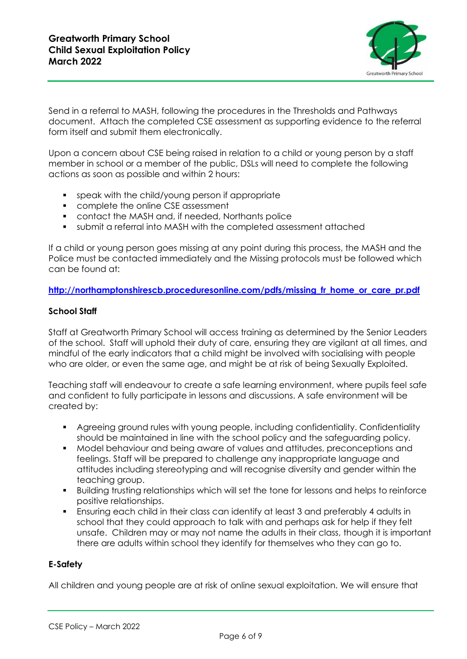

Send in a referral to MASH, following the procedures in the Thresholds and Pathways document. Attach the completed CSE assessment as supporting evidence to the referral form itself and submit them electronically.

Upon a concern about CSE being raised in relation to a child or young person by a staff member in school or a member of the public, DSLs will need to complete the following actions as soon as possible and within 2 hours:

- speak with the child/young person if appropriate
- **•** complete the online CSE assessment
- contact the MASH and, if needed, Northants police
- submit a referral into MASH with the completed assessment attached

If a child or young person goes missing at any point during this process, the MASH and the Police must be contacted immediately and the Missing protocols must be followed which can be found at:

**[http://northamptonshirescb.proceduresonline.com/pdfs/missing\\_fr\\_home\\_or\\_care\\_pr.pdf](http://northamptonshirescb.proceduresonline.com/pdfs/missing_fr_home_or_care_pr.pdf)**

#### **School Staff**

Staff at Greatworth Primary School will access training as determined by the Senior Leaders of the school. Staff will uphold their duty of care, ensuring they are vigilant at all times, and mindful of the early indicators that a child might be involved with socialising with people who are older, or even the same age, and might be at risk of being Sexually Exploited.

Teaching staff will endeavour to create a safe learning environment, where pupils feel safe and confident to fully participate in lessons and discussions. A safe environment will be created by:

- Agreeing ground rules with young people, including confidentiality. Confidentiality should be maintained in line with the school policy and the safeguarding policy.
- Model behaviour and being aware of values and attitudes, preconceptions and feelings. Staff will be prepared to challenge any inappropriate language and attitudes including stereotyping and will recognise diversity and gender within the teaching group.
- Building trusting relationships which will set the tone for lessons and helps to reinforce positive relationships.
- **E** Ensuring each child in their class can identify at least 3 and preferably 4 adults in school that they could approach to talk with and perhaps ask for help if they felt unsafe. Children may or may not name the adults in their class, though it is important there are adults within school they identify for themselves who they can go to.

# **E-Safety**

All children and young people are at risk of online sexual exploitation. We will ensure that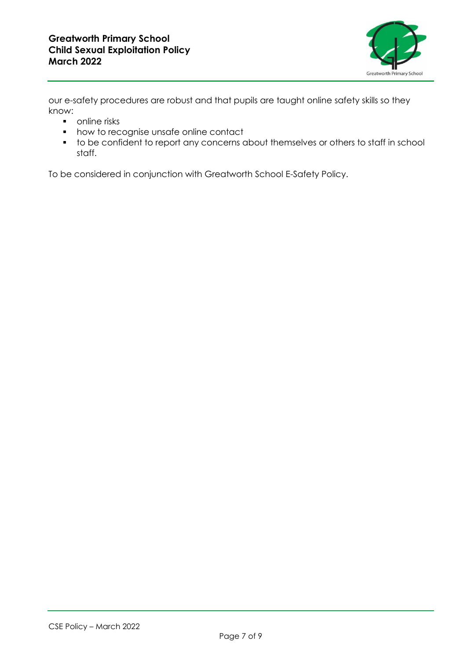

our e-safety procedures are robust and that pupils are taught online safety skills so they know:

- online risks
- how to recognise unsafe online contact
- to be confident to report any concerns about themselves or others to staff in school staff.

To be considered in conjunction with Greatworth School E-Safety Policy.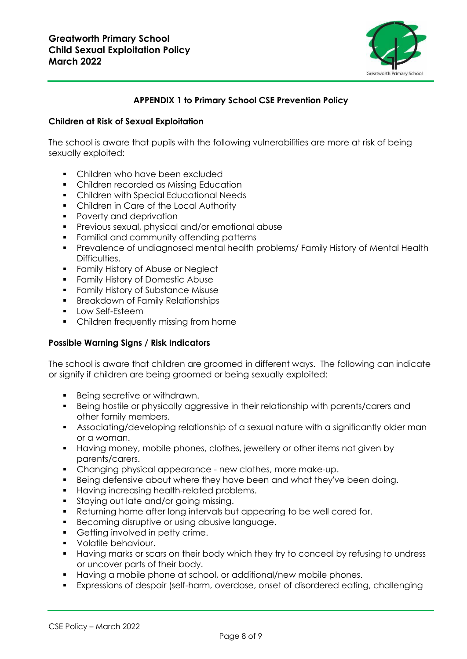

# **APPENDIX 1 to Primary School CSE Prevention Policy**

#### **Children at Risk of Sexual Exploitation**

The school is aware that pupils with the following vulnerabilities are more at risk of being sexually exploited:

- Children who have been excluded
- Children recorded as Missing Education
- Children with Special Educational Needs
- **Children in Care of the Local Authority**
- Poverty and deprivation
- **•** Previous sexual, physical and/or emotional abuse
- **•** Familial and community offending patterns
- **•** Prevalence of undiagnosed mental health problems/ Family History of Mental Health Difficulties.
- **Family History of Abuse or Neglect**
- **•** Family History of Domestic Abuse
- **•** Family History of Substance Misuse
- **•** Breakdown of Family Relationships
- Low Self-Esteem
- **•** Children frequently missing from home

#### **Possible Warning Signs / Risk Indicators**

The school is aware that children are groomed in different ways. The following can indicate or signify if children are being groomed or being sexually exploited:

- Being secretive or withdrawn.
- Being hostile or physically aggressive in their relationship with parents/carers and other family members.
- **EXE** Associating/developing relationship of a sexual nature with a significantly older man or a woman.
- Having money, mobile phones, clothes, jewellery or other items not given by parents/carers.
- Changing physical appearance new clothes, more make-up.
- Being defensive about where they have been and what they've been doing.
- Having increasing health-related problems.
- Staying out late and/or going missing.
- Returning home after long intervals but appearing to be well cared for.
- Becoming disruptive or using abusive language.
- Getting involved in petty crime.
- Volatile behaviour.
- **■** Having marks or scars on their body which they try to conceal by refusing to undress or uncover parts of their body.
- Having a mobile phone at school, or additional/new mobile phones.
- Expressions of despair (self-harm, overdose, onset of disordered eating, challenging